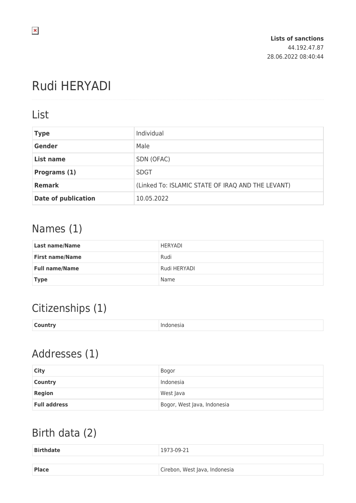# Rudi HERYADI

#### List

| <b>Type</b>                | Individual                                        |
|----------------------------|---------------------------------------------------|
| <b>Gender</b>              | Male                                              |
| List name                  | SDN (OFAC)                                        |
| Programs (1)               | <b>SDGT</b>                                       |
| <b>Remark</b>              | (Linked To: ISLAMIC STATE OF IRAQ AND THE LEVANT) |
| <b>Date of publication</b> | 10.05.2022                                        |

## Names (1)

| <b>Last name/Name</b>  | HERYADI      |
|------------------------|--------------|
| <b>First name/Name</b> | Rudi         |
| <b>Full name/Name</b>  | Rudi HERYADI |
| <b>Type</b>            | Name         |

## Citizenships (1)

| <b>Country</b> | Indonesia |
|----------------|-----------|
|                |           |

## Addresses (1)

| City                | Bogor                       |
|---------------------|-----------------------------|
| <b>Country</b>      | Indonesia                   |
| <b>Region</b>       | West Java                   |
| <b>Full address</b> | Bogor, West Java, Indonesia |

### Birth data (2)

| <b>Birthdate</b> | 1973-09-21                    |
|------------------|-------------------------------|
|                  |                               |
| <b>Place</b>     | Cirebon, West Java, Indonesia |